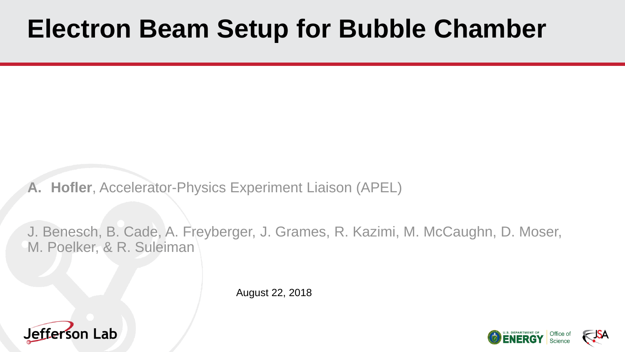# **Electron Beam Setup for Bubble Chamber**

**A. Hofler**, Accelerator-Physics Experiment Liaison (APEL)

J. Benesch, B. Cade, A. Freyberger, J. Grames, R. Kazimi, M. McCaughn, D. Moser, M. Poelker, & R. Suleiman

August 22, 2018





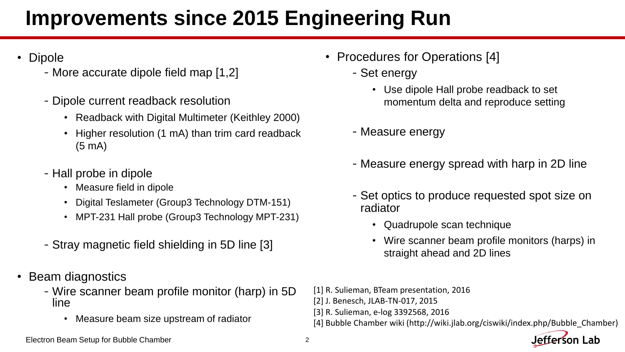### **Improvements since 2015 Engineering Run**

- **Dipole** 
	- -More accurate dipole field map [1,2]
	- -Dipole current readback resolution
		- Readback with Digital Multimeter (Keithley 2000)
		- Higher resolution (1 mA) than trim card readback (5 mA)
	- -Hall probe in dipole
		- Measure field in dipole
		- Digital Teslameter (Group3 Technology DTM-151)
		- MPT-231 Hall probe (Group3 Technology MPT-231)
	- -Stray magnetic field shielding in 5D line [3]
- Beam diagnostics
	- -Wire scanner beam profile monitor (harp) in 5D line
		- Measure beam size upstream of radiator
- Procedures for Operations [4]
	- -Set energy
		- Use dipole Hall probe readback to set momentum delta and reproduce setting
	- -Measure energy
	- -Measure energy spread with harp in 2D line
	- -Set optics to produce requested spot size on radiator
		- Quadrupole scan technique
		- Wire scanner beam profile monitors (harps) in straight ahead and 2D lines
- [1] R. Sulieman, BTeam presentation, 2016
- [2] J. Benesch, JLAB-TN-017, 2015
- [3] R. Sulieman, e-log 3392568, 2016
- [4] Bubble Chamber wiki (http://wiki.jlab.org/ciswiki/index.php/Bubble\_Chamber)

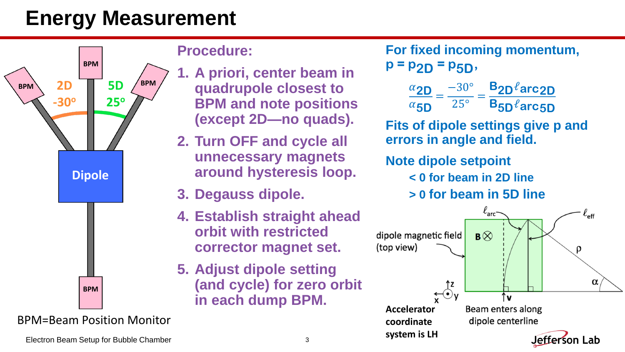## **Energy Measurement**



BPM=Beam Position Monitor

#### **Procedure:**

- **1. A priori, center beam in quadrupole closest to BPM and note positions (except 2D—no quads).**
- **2. Turn OFF and cycle all unnecessary magnets around hysteresis loop.**
- **3. Degauss dipole.**
- **4. Establish straight ahead orbit with restricted corrector magnet set.**
- **5. Adjust dipole setting (and cycle) for zero orbit in each dump BPM.**

**For fixed incoming momentum, p = p2D = p5D,**  $\alpha_{2D}$  $\alpha$ <sub>5D</sub> = −30° 25° = **B2D**ℓ**arc2D B5D**ℓ**arc5D Fits of dipole settings give p and errors in angle and field.**

#### **Note dipole setpoint**

**< 0 for beam in 2D line**

**> 0 for beam in 5D line**



Electron Beam Setup for Bubble Chamber 3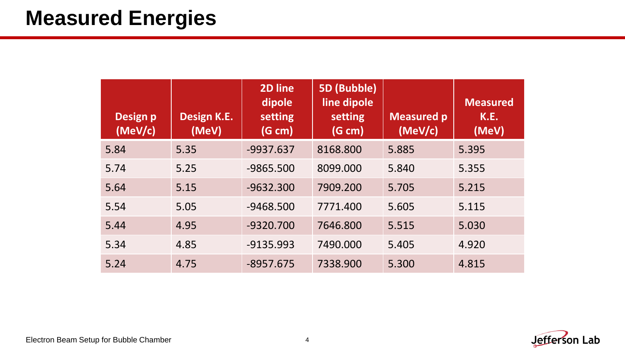#### **Measured Energies**

| <b>Design p</b><br>(MeV/c) | Design K.E.<br>(MeV) | 2D line<br>dipole<br>setting<br>(G cm) | <b>5D (Bubble)</b><br>line dipole<br>setting<br>(G cm) | <b>Measured p</b><br>(MeV/c) | <b>Measured</b><br>K.E.<br>(MeV) |
|----------------------------|----------------------|----------------------------------------|--------------------------------------------------------|------------------------------|----------------------------------|
| 5.84                       | 5.35                 | $-9937.637$                            | 8168.800                                               | 5.885                        | 5.395                            |
| 5.74                       | 5.25                 | -9865.500                              | 8099.000                                               | 5.840                        | 5.355                            |
| 5.64                       | 5.15                 | $-9632.300$                            | 7909.200                                               | 5.705                        | 5.215                            |
| 5.54                       | 5.05                 | $-9468.500$                            | 7771.400                                               | 5.605                        | 5.115                            |
| 5.44                       | 4.95                 | $-9320.700$                            | 7646.800                                               | 5.515                        | 5.030                            |
| 5.34                       | 4.85                 | $-9135.993$                            | 7490.000                                               | 5.405                        | 4.920                            |
| 5.24                       | 4.75                 | $-8957.675$                            | 7338.900                                               | 5.300                        | 4.815                            |

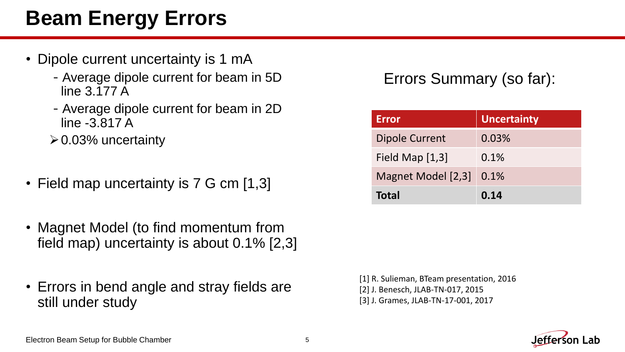### **Beam Energy Errors**

- Dipole current uncertainty is 1 mA
	- -Average dipole current for beam in 5D line 3.177 A
	- -Average dipole current for beam in 2D line -3.817 A
	- $\geq 0.03\%$  uncertainty
- Field map uncertainty is 7 G cm [1,3]
- Magnet Model (to find momentum from field map) uncertainty is about 0.1% [2,3]
- Errors in bend angle and stray fields are still under study

#### Errors Summary (so far):

| <b>Error</b>          | <b>Uncertainty</b> |  |  |
|-----------------------|--------------------|--|--|
| <b>Dipole Current</b> | 0.03%              |  |  |
| Field Map $[1,3]$     | 0.1%               |  |  |
| Magnet Model [2,3]    | 0.1%               |  |  |
| <b>Total</b>          | 0.14               |  |  |

[1] R. Sulieman, BTeam presentation, 2016 [2] J. Benesch, JLAB-TN-017, 2015 [3] J. Grames, JLAB-TN-17-001, 2017

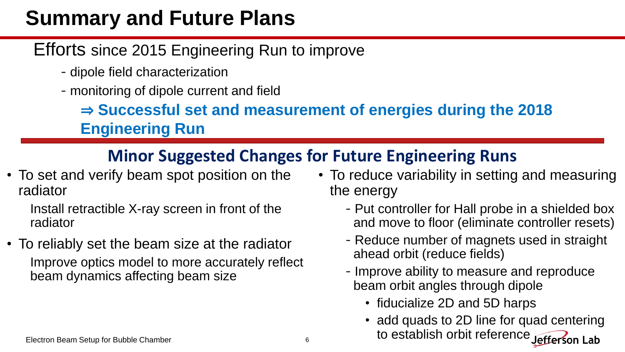### **Summary and Future Plans**

#### Efforts since 2015 Engineering Run to improve

- -dipole field characterization
- -monitoring of dipole current and field

⇒ **Successful set and measurement of energies during the 2018 Engineering Run**

#### **Minor Suggested Changes for Future Engineering Runs**

• To set and verify beam spot position on the radiator

Install retractible X-ray screen in front of the radiator

• To reliably set the beam size at the radiator Improve optics model to more accurately reflect beam dynamics affecting beam size

- To reduce variability in setting and measuring the energy
	- -Put controller for Hall probe in a shielded box and move to floor (eliminate controller resets)
	- -Reduce number of magnets used in straight ahead orbit (reduce fields)
	- -Improve ability to measure and reproduce beam orbit angles through dipole
		- fiducialize 2D and 5D harps
		- add quads to 2D line for quad centering to establish orbit reference Jefferson Lab